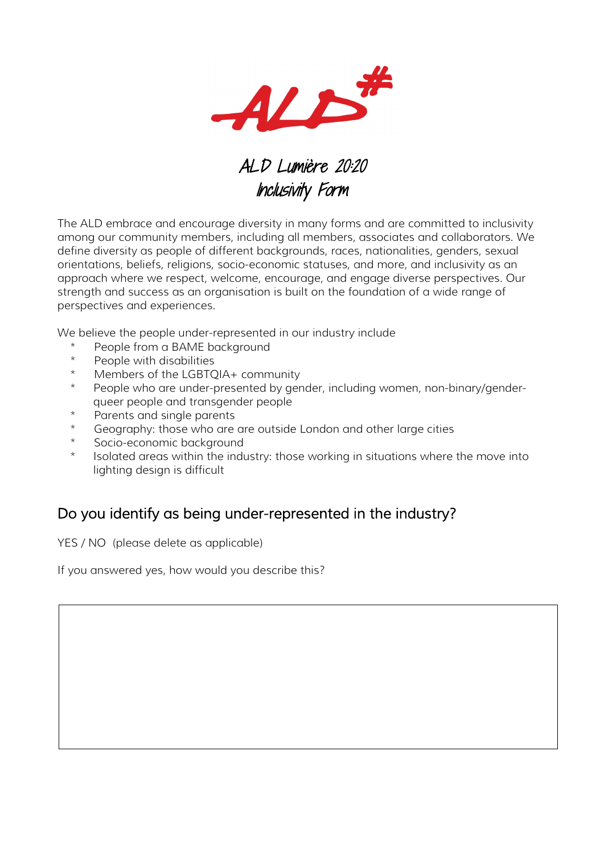

## ALD Lumière 20:20 Inclusivity Form

The ALD embrace and encourage diversity in many forms and are committed to inclusivity among our community members, including all members, associates and collaborators. We define diversity as people of different backgrounds, races, nationalities, genders, sexual orientations, beliefs, religions, socio-economic statuses, and more, and inclusivity as an approach where we respect, welcome, encourage, and engage diverse perspectives. Our strength and success as an organisation is built on the foundation of a wide range of perspectives and experiences.

We believe the people under-represented in our industry include

- People from a BAME background
- \* People with disabilities
- \* Members of the LGBTQIA+ community
- People who are under-presented by gender, including women, non-binary/genderqueer people and transgender people
- Parents and single parents
- Geography: those who are are outside London and other large cities
- Socio-economic background
- Isolated areas within the industry: those working in situations where the move into lighting design is difficult

## Do you identify as being under-represented in the industry?

YES / NO (please delete as applicable)

If you answered yes, how would you describe this?